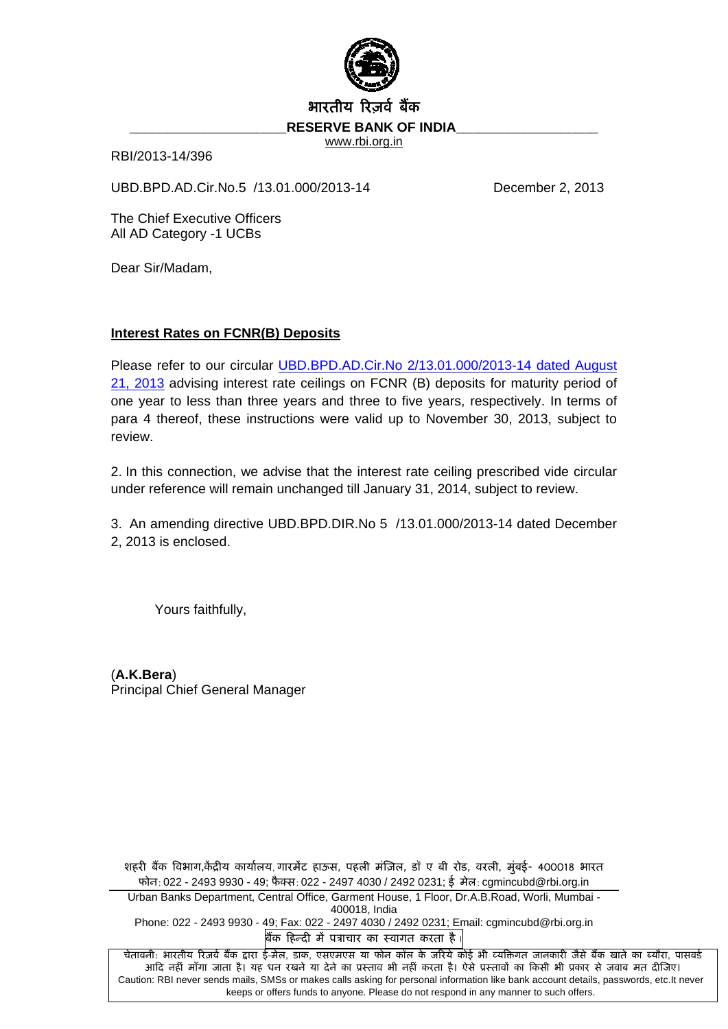

## भारतीय रिजर्व बैंक

RESERVE BANK OF INDIA

www.rbi.org.in

RBI/2013-14/396

UBD.BPD.AD.Cir.No.5 /13.01.000/2013-14 December 2, 2013

The Chief Executive Officers All AD Category -1 UCBs

Dear Sir/Madam,

## **Interest Rates on FCNR(B) Deposits**

Please refer to our circular [UBD.BPD.AD.Cir.No 2/13.01.000/2013-14 dated August](http://www.rbi.org.in/scripts/NotificationUser.aspx?Id=8336&Mode=0)  [21, 2013](http://www.rbi.org.in/scripts/NotificationUser.aspx?Id=8336&Mode=0) advising interest rate ceilings on FCNR (B) deposits for maturity period of one year to less than three years and three to five years, respectively. In terms of para 4 thereof, these instructions were valid up to November 30, 2013, subject to review.

2. In this connection, we advise that the interest rate ceiling prescribed vide circular under reference will remain unchanged till January 31, 2014, subject to review.

3. An amending directive UBD.BPD.DIR.No 5 /13.01.000/2013-14 dated December 2, 2013 is enclosed.

Yours faithfully,

(**A.K.Bera**) Principal Chief General Manager

शहरी बैंक विभाग,केंद्रीय कार्यालय, गारमेंट हाऊस, पहली मंज़िल, डॉ ए बी रोड, वरली, मुंबई- 400018 भारत फोन: 022 - 2493 9930 - 49; फैक्स: 022 - 2497 4030 / 2492 0231; ई मेल: cgmincubd@rbi.org.in Urban Banks Department, Central Office, Garment House, 1 Floor, Dr.A.B.Road, Worli, Mumbai - 400018, India Phone: 022 - 2493 9930 - 49; Fax: 022 - 2497 4030 / 2492 0231; Email: cgmincubd@rbi.org.in बैंक हिन्दी में पत्राचार का स्वागत करता है चेतावनी: भारतीय रिज़र्व बैंक द्वारा ई-मेल, डाक, एसएमएस या फोन कॉल के जरिये कोई भी व्यक्तिगत जानकारी जैसे बैंक खाते का ब्यौरा, पासवर्ड

आदि नहीं माँगा जाता है। यह धन रखने या देने का प्रस्ताव भी नहीं करता है। ऐसे प्रस्तावों का किसी भी प्रकार से जवाब मत दीजिए। Caution: RBI never sends mails, SMSs or makes calls asking for personal information like bank account details, passwords, etc.It never keeps or offers funds to anyone. Please do not respond in any manner to such offers.